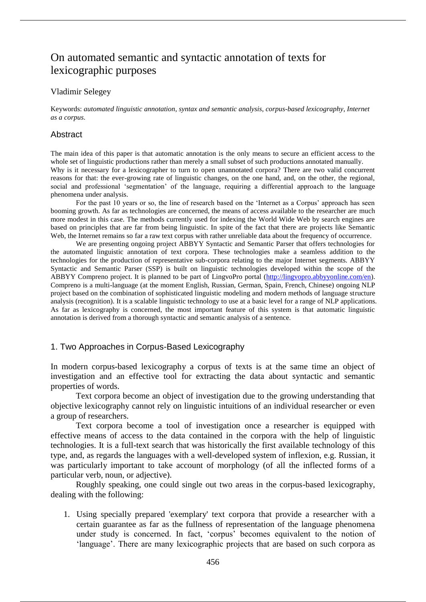# On automated semantic and syntactic annotation of texts for lexicographic purposes

#### Vladimir Selegey

Keywords: *automated linguistic annotation*, *syntax and semantic analysis*, *corpus-based lexicography*, *Internet as a corpus*.

#### Abstract

The main idea of this paper is that automatic annotation is the only means to secure an efficient access to the whole set of linguistic productions rather than merely a small subset of such productions annotated manually. Why is it necessary for a lexicographer to turn to open unannotated corpora? There are two valid concurrent reasons for that: the ever-growing rate of linguistic changes, on the one hand, and, on the other, the regional, social and professional 'segmentation' of the language, requiring a differential approach to the language phenomena under analysis.

For the past 10 years or so, the line of research based on the 'Internet as a Corpus' approach has seen booming growth. As far as technologies are concerned, the means of access available to the researcher are much more modest in this case. The methods currently used for indexing the World Wide Web by search engines are based on principles that are far from being linguistic. In spite of the fact that there are projects like Semantic Web, the Internet remains so far a raw text corpus with rather unreliable data about the frequency of occurrence.

We are presenting ongoing project ABBYY Syntactic and Semantic Parser that offers technologies for the automated linguistic annotation of text corpora. These technologies make a seamless addition to the technologies for the production of representative sub-corpora relating to the major Internet segments. ABBYY Syntactic and Semantic Parser (SSP) is built on linguistic technologies developed within the scope of the ABBYY Compreno project. It is planned to be part of LingvoPro portal (http://lingvopro.abbyyonline.com/en). Compreno is a multi-language (at the moment English, Russian, German, Spain, French, Chinese) ongoing NLP project based on the combination of sophisticated linguistic modeling and modern methods of language structure analysis (recognition). It is a scalable linguistic technology to use at a basic level for a range of NLP applications. As far as lexicography is concerned, the most important feature of this system is that automatic linguistic annotation is derived from a thorough syntactic and semantic analysis of a sentence.

## 1. Two Approaches in Corpus-Based Lexicography

In modern corpus-based lexicography a corpus of texts is at the same time an object of investigation and an effective tool for extracting the data about syntactic and semantic properties of words.

Text corpora become an object of investigation due to the growing understanding that objective lexicography cannot rely on linguistic intuitions of an individual researcher or even a group of researchers.

Text corpora become a tool of investigation once a researcher is equipped with effective means of access to the data contained in the corpora with the help of linguistic technologies. It is a full-text search that was historically the first available technology of this type, and, as regards the languages with a well-developed system of inflexion, e.g. Russian, it was particularly important to take account of morphology (of all the inflected forms of a particular verb, noun, or adjective).

Roughly speaking, one could single out two areas in the corpus-based lexicography, dealing with the following:

1. Using specially prepared 'exemplary' text corpora that provide a researcher with a certain guarantee as far as the fullness of representation of the language phenomena under study is concerned. In fact, 'corpus' becomes equivalent to the notion of 'language'. There are many lexicographic projects that are based on such corpora as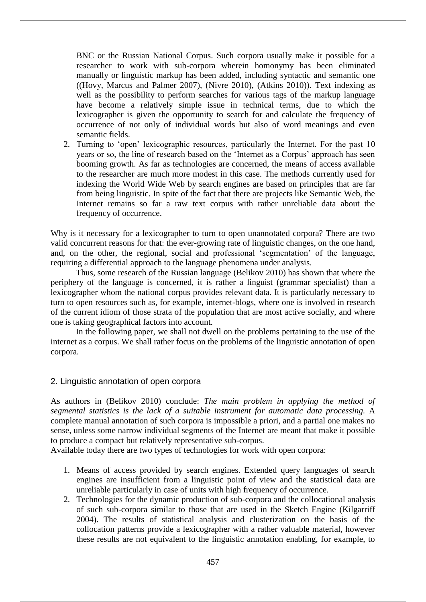BNC or the Russian National Corpus. Such corpora usually make it possible for a researcher to work with sub-corpora wherein homonymy has been eliminated manually or linguistic markup has been added, including syntactic and semantic one ((Hovy, Marcus and Palmer 2007), (Nivre 2010), (Atkins 2010)). Text indexing as well as the possibility to perform searches for various tags of the markup language have become a relatively simple issue in technical terms, due to which the lexicographer is given the opportunity to search for and calculate the frequency of occurrence of not only of individual words but also of word meanings and even semantic fields.

2. Turning to 'open' lexicographic resources, particularly the Internet. For the past 10 years or so, the line of research based on the 'Internet as a Corpus' approach has seen booming growth. As far as technologies are concerned, the means of access available to the researcher are much more modest in this case. The methods currently used for indexing the World Wide Web by search engines are based on principles that are far from being linguistic. In spite of the fact that there are projects like Semantic Web, the Internet remains so far a raw text corpus with rather unreliable data about the frequency of occurrence.

Why is it necessary for a lexicographer to turn to open unannotated corpora? There are two valid concurrent reasons for that: the ever-growing rate of linguistic changes, on the one hand, and, on the other, the regional, social and professional 'segmentation' of the language, requiring a differential approach to the language phenomena under analysis.

Thus, some research of the Russian language (Belikov 2010) has shown that where the periphery of the language is concerned, it is rather a linguist (grammar specialist) than a lexicographer whom the national corpus provides relevant data. It is particularly necessary to turn to open resources such as, for example, internet-blogs, where one is involved in research of the current idiom of those strata of the population that are most active socially, and where one is taking geographical factors into account.

In the following paper, we shall not dwell on the problems pertaining to the use of the internet as a corpus. We shall rather focus on the problems of the linguistic annotation of open corpora.

# 2. Linguistic annotation of open corpora

As authors in (Belikov 2010) conclude: *The main problem in applying the method of segmental statistics is the lack of a suitable instrument for automatic data processing.* A complete manual annotation of such corpora is impossible a priori, and a partial one makes no sense, unless some narrow individual segments of the Internet are meant that make it possible to produce a compact but relatively representative sub-corpus.

Available today there are two types of technologies for work with open corpora:

- 1. Means of access provided by search engines. Extended query languages of search engines are insufficient from a linguistic point of view and the statistical data are unreliable particularly in case of units with high frequency of occurrence.
- 2. Technologies for the dynamic production of sub-corpora and the collocational analysis of such sub-corpora similar to those that are used in the Sketch Engine (Kilgarriff 2004). The results of statistical analysis and clusterization on the basis of the collocation patterns provide a lexicographer with a rather valuable material, however these results are not equivalent to the linguistic annotation enabling, for example, to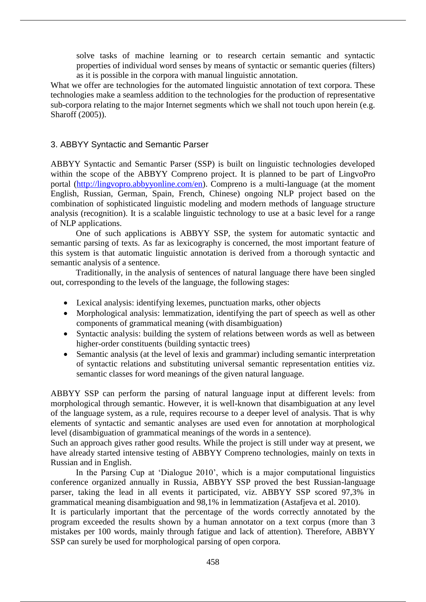solve tasks of machine learning or to research certain semantic and syntactic properties of individual word senses by means of syntactic or semantic queries (filters) as it is possible in the corpora with manual linguistic annotation.

What we offer are technologies for the automated linguistic annotation of text corpora. These technologies make a seamless addition to the technologies for the production of representative sub-corpora relating to the major Internet segments which we shall not touch upon herein (e.g. Sharoff (2005)).

## 3. ABBYY Syntactic and Semantic Parser

ABBYY Syntactic and Semantic Parser (SSP) is built on linguistic technologies developed within the scope of the ABBYY Compreno project. It is planned to be part of LingvoPro portal (http://lingvopro.abbyyonline.com/en). Compreno is a multi-language (at the moment English, Russian, German, Spain, French, Chinese) ongoing NLP project based on the combination of sophisticated linguistic modeling and modern methods of language structure analysis (recognition). It is a scalable linguistic technology to use at a basic level for a range of NLP applications.

One of such applications is ABBYY SSP, the system for automatic syntactic and semantic parsing of texts. As far as lexicography is concerned, the most important feature of this system is that automatic linguistic annotation is derived from a thorough syntactic and semantic analysis of a sentence.

Traditionally, in the analysis of sentences of natural language there have been singled out, corresponding to the levels of the language, the following stages:

- Lexical analysis: identifying lexemes, punctuation marks, other objects
- Morphological analysis: lemmatization, identifying the part of speech as well as other components of grammatical meaning (with disambiguation)
- Syntactic analysis: building the system of relations between words as well as between higher-order constituents (building syntactic trees)
- Semantic analysis (at the level of lexis and grammar) including semantic interpretation of syntactic relations and substituting universal semantic representation entities viz. semantic classes for word meanings of the given natural language.

ABBYY SSP can perform the parsing of natural language input at different levels: from morphological through semantic. However, it is well-known that disambiguation at any level of the language system, as a rule, requires recourse to a deeper level of analysis. That is why elements of syntactic and semantic analyses are used even for annotation at morphological level (disambiguation of grammatical meanings of the words in a sentence).

Such an approach gives rather good results. While the project is still under way at present, we have already started intensive testing of ABBYY Compreno technologies, mainly on texts in Russian and in English.

In the Parsing Cup at 'Dialogue 2010', which is a major computational linguistics conference organized annually in Russia, ABBYY SSP proved the best Russian-language parser, taking the lead in all events it participated, viz. ABBYY SSP scored 97,3% in grammatical meaning disambiguation and 98,1% in lemmatization (Astafjeva et al. 2010).

It is particularly important that the percentage of the words correctly annotated by the program exceeded the results shown by a human annotator on a text corpus (more than 3 mistakes per 100 words, mainly through fatigue and lack of attention). Therefore, ABBYY SSP can surely be used for morphological parsing of open corpora.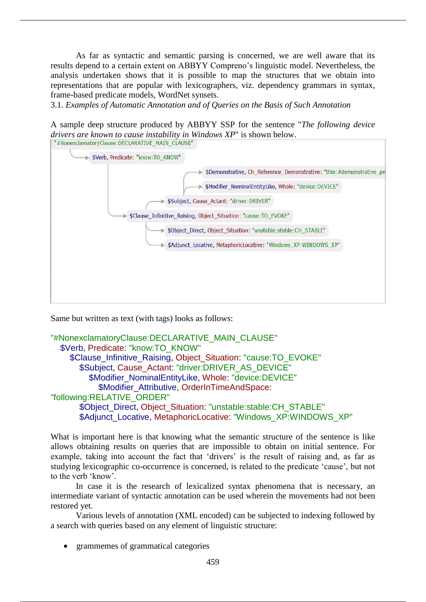As far as syntactic and semantic parsing is concerned, we are well aware that its results depend to a certain extent on ABBYY Compreno's linguistic model. Nevertheless, the analysis undertaken shows that it is possible to map the structures that we obtain into representations that are popular with lexicographers, viz. dependency grammars in syntax, frame-based predicate models, WordNet synsets.

3.1. *Examples of Automatic Annotation and of Queries on the Basis of Such Annotation*

A sample deep structure produced by ABBYY SSP for the sentence "*The following device drivers are known to cause instability in Windows XP*" is shown below.<br>
"#NonexclamatoryClause:DECLARATIVE MAIN CLAUSE"



Same but written as text (with tags) looks as follows:

```
"#NonexclamatoryClause:DECLARATIVE_MAIN_CLAUSE"
   $Verb, Predicate: "know:TO_KNOW"
    $Clause_Infinitive_Raising, Object_Situation: "cause:TO_EVOKE"
      $Subject, Cause Actant: "driver:DRIVER AS DEVICE"
         $Modifier_NominalEntityLike, Whole: "device:DEVICE"
           $Modifier_Attributive, OrderInTimeAndSpace:
"following:RELATIVE_ORDER"
      $Object_Direct, Object_Situation: "unstable:stable:CH_STABLE"
       $Adjunct_Locative, MetaphoricLocative: "Windows_XP:WINDOWS_XP"
```
What is important here is that knowing what the semantic structure of the sentence is like allows obtaining results on queries that are impossible to obtain on initial sentence. For example, taking into account the fact that 'drivers' is the result of raising and, as far as studying lexicographic co-occurrence is concerned, is related to the predicate 'cause', but not to the verb 'know'.

In case it is the research of lexicalized syntax phenomena that is necessary, an intermediate variant of syntactic annotation can be used wherein the movements had not been restored yet.

Various levels of annotation (XML encoded) can be subjected to indexing followed by a search with queries based on any element of linguistic structure:

grammemes of grammatical categories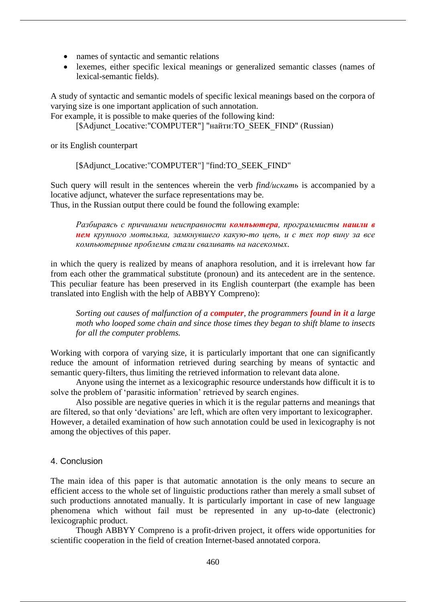- names of syntactic and semantic relations
- lexemes, either specific lexical meanings or generalized semantic classes (names of lexical-semantic fields).

A study of syntactic and semantic models of specific lexical meanings based on the corpora of varying size is one important application of such annotation.

For example, it is possible to make queries of the following kind:

[\$Adjunct\_Locative:"COMPUTER"] "найти:TO\_SEEK\_FIND" (Russian)

or its English counterpart

[\$Adjunct\_Locative:"COMPUTER"] "find:TO\_SEEK\_FIND"

Such query will result in the sentences wherein the verb *find/искать* is accompanied by a locative adjunct, whatever the surface representations may be. Thus, in the Russian output there could be found the following example:

*Разбираясь с причинами неисправности компьютера, программисты нашли в нем крупного мотылька, замкнувшего какую-то цепь, и с тех пор вину за все компьютерные проблемы стали сваливать на насекомых.*

in which the query is realized by means of anaphora resolution, and it is irrelevant how far from each other the grammatical substitute (pronoun) and its antecedent are in the sentence. This peculiar feature has been preserved in its English counterpart (the example has been translated into English with the help of ABBYY Compreno):

*Sorting out causes of malfunction of a computer, the programmers found in it a large moth who looped some chain and since those times they began to shift blame to insects for all the computer problems.*

Working with corpora of varying size, it is particularly important that one can significantly reduce the amount of information retrieved during searching by means of syntactic and semantic query-filters, thus limiting the retrieved information to relevant data alone.

Anyone using the internet as a lexicographic resource understands how difficult it is to solve the problem of 'parasitic information' retrieved by search engines.

Also possible are negative queries in which it is the regular patterns and meanings that are filtered, so that only 'deviations' are left, which are often very important to lexicographer. However, a detailed examination of how such annotation could be used in lexicography is not among the objectives of this paper.

## 4. Conclusion

The main idea of this paper is that automatic annotation is the only means to secure an efficient access to the whole set of linguistic productions rather than merely a small subset of such productions annotated manually. It is particularly important in case of new language phenomena which without fail must be represented in any up-to-date (electronic) lexicographic product.

Though ABBYY Compreno is a profit-driven project, it offers wide opportunities for scientific cooperation in the field of creation Internet-based annotated corpora.